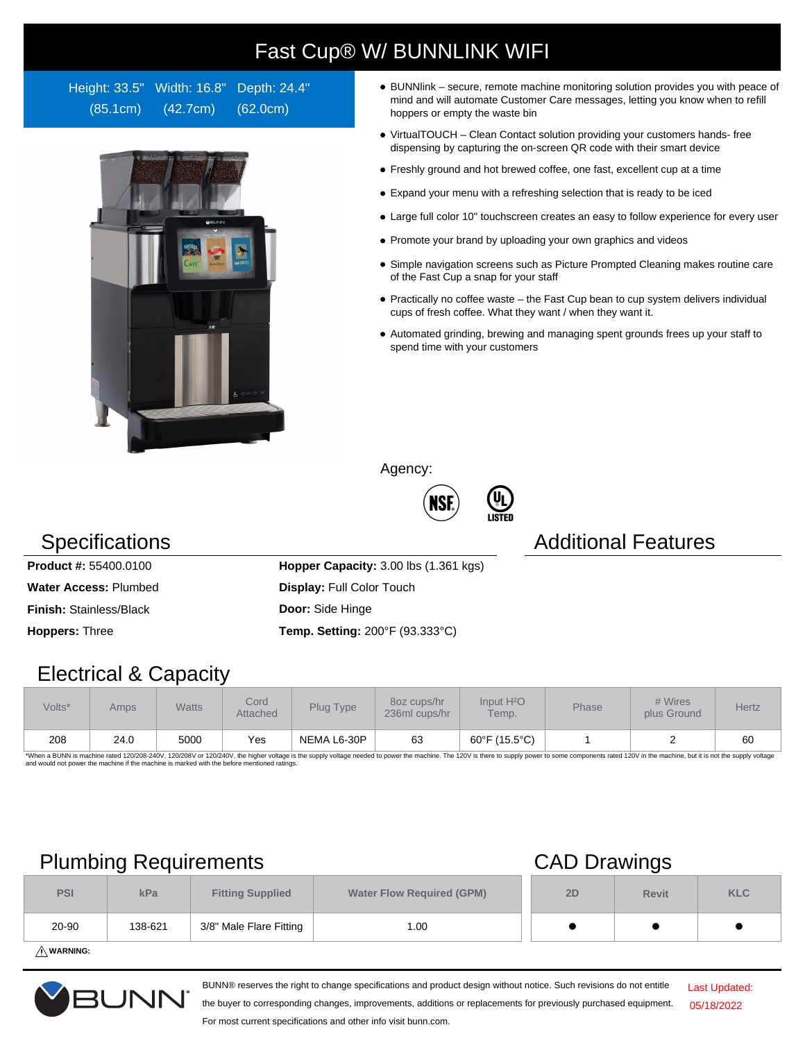# Fast Cup® W/ BUNNLINK WIFI

Height: 33.5" Width: 16.8" Depth: 24.4" (85.1cm) (42.7cm) (62.0cm)



- BUNNlink secure, remote machine monitoring solution provides you with peace of mind and will automate Customer Care messages, letting you know when to refill hoppers or empty the waste bin
- VirtualTOUCH Clean Contact solution providing your customers hands- free dispensing by capturing the on-screen QR code with their smart device
- Freshly ground and hot brewed coffee, one fast, excellent cup at a time
- Expand your menu with a refreshing selection that is ready to be iced
- Large full color 10" touchscreen creates an easy to follow experience for every user
- Promote your brand by uploading your own graphics and videos
- Simple navigation screens such as Picture Prompted Cleaning makes routine care of the Fast Cup a snap for your staff
- $\bullet$  Practically no coffee waste the Fast Cup bean to cup system delivers individual cups of fresh coffee. What they want / when they want it.
- Automated grinding, brewing and managing spent grounds frees up your staff to spend time with your customers

Agency:



**(UL)**<br>LISTED

### **Specifications Additional Features**

**Product #:** 55400.0100 **Hopper Capacity:** 3.00 lbs (1.361 kgs) **Water Access: Plumbed <b>Display:** Full Color Touch **Finish:** Stainless/Black **Door:** Side Hinge **Hoppers:** Three **Temp. Setting:** 200°F (93.333°C)

### Electrical & Capacity

| Volts* | Amps | Watts | Cord<br>Attached | Plug Type   | 8oz cups/hr<br>236ml cups/hr | Input H <sup>2</sup> O<br>Temp. | <b>Phase</b> | # Wires<br>plus Ground | Hertz |
|--------|------|-------|------------------|-------------|------------------------------|---------------------------------|--------------|------------------------|-------|
| 208    | 24.0 | 5000  | Yes              | NEMA L6-30P | 63                           | 60°F (15.5°C)                   |              |                        | 60    |

\*When a BUNN is machine rated 120/208-240V, 120/208V or 120/240V, the higher voltage is the supply voltage needed to power the machine. The 120V is there to supply power to some components rated 120V in the machine, but it

## Plumbing Requirements CAD Drawings

|            | -       |                         | . .                              |    |              |            |
|------------|---------|-------------------------|----------------------------------|----|--------------|------------|
| <b>PSI</b> | kPa     | <b>Fitting Supplied</b> | <b>Water Flow Required (GPM)</b> | 2D | <b>Revit</b> | <b>KLC</b> |
| 20-90      | 138-621 | 3/8" Male Flare Fitting | 1.00                             |    |              |            |
|            |         |                         |                                  |    |              |            |

**WARNING:**



BUNN® reserves the right to change specifications and product design without notice. Such revisions do not entitle

Last Updated: 05/18/2022

the buyer to corresponding changes, improvements, additions or replacements for previously purchased equipment. For most current specifications and other info visit bunn.com.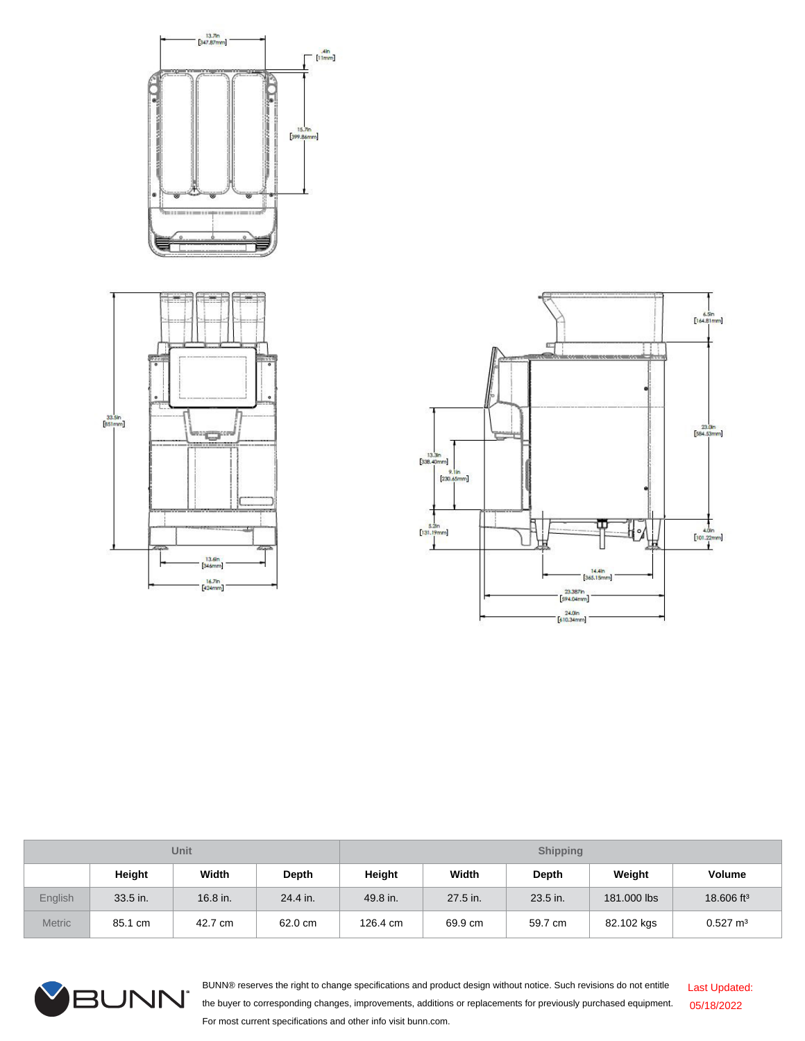



| <b>Unit</b>    |          |          |          | <b>Shipping</b> |          |              |             |                        |
|----------------|----------|----------|----------|-----------------|----------|--------------|-------------|------------------------|
|                | Height   | Width    | Depth    | Height          | Width    | <b>Depth</b> | Weight      | <b>Volume</b>          |
| <b>English</b> | 33.5 in. | 16.8 in. | 24.4 in. | 49.8 in.        | 27.5 in. | 23.5 in.     | 181.000 lbs | 18.606 ft <sup>3</sup> |
| <b>Metric</b>  | 85.1 cm  | 42.7 cm  | 62.0 cm  | 126.4 cm        | 69.9 cm  | 59.7 cm      | 82.102 kgs  | $0.527 \text{ m}^3$    |



BUNN® reserves the right to change specifications and product design without notice. Such revisions do not entitle the buyer to corresponding changes, improvements, additions or replacements for previously purchased equipment. For most current specifications and other info visit bunn.com. Last Updated: 05/18/2022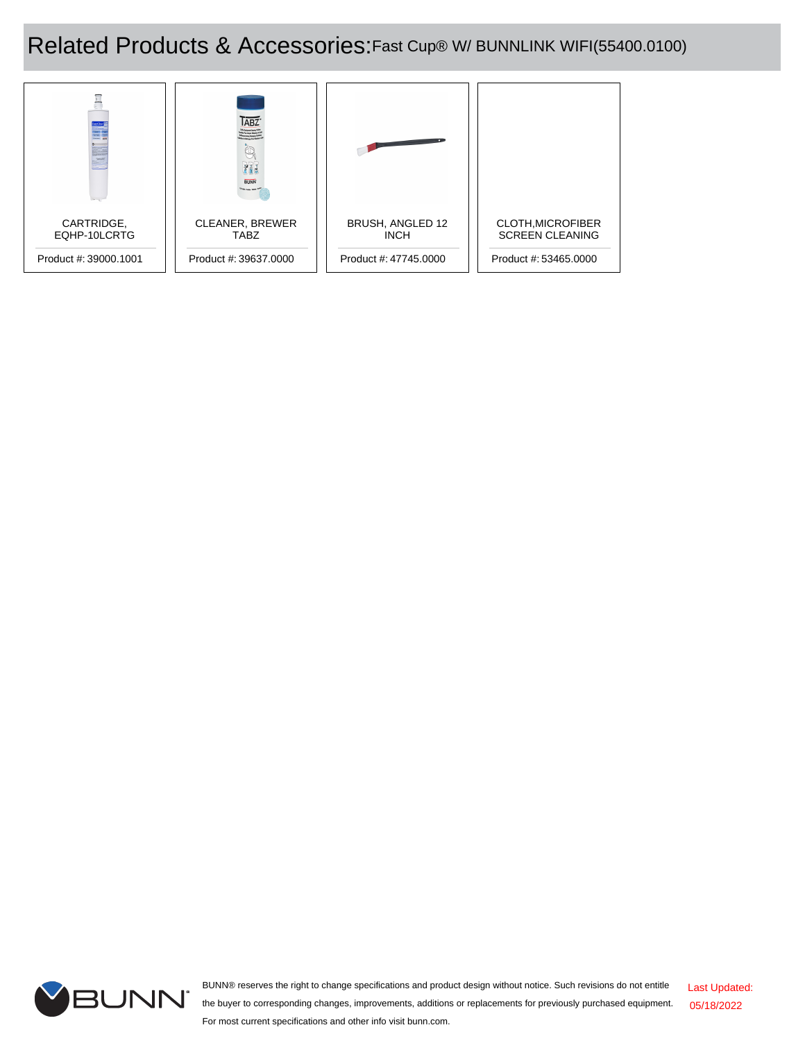## Related Products & Accessories:Fast Cup® W/ BUNNLINK WIFI(55400.0100)